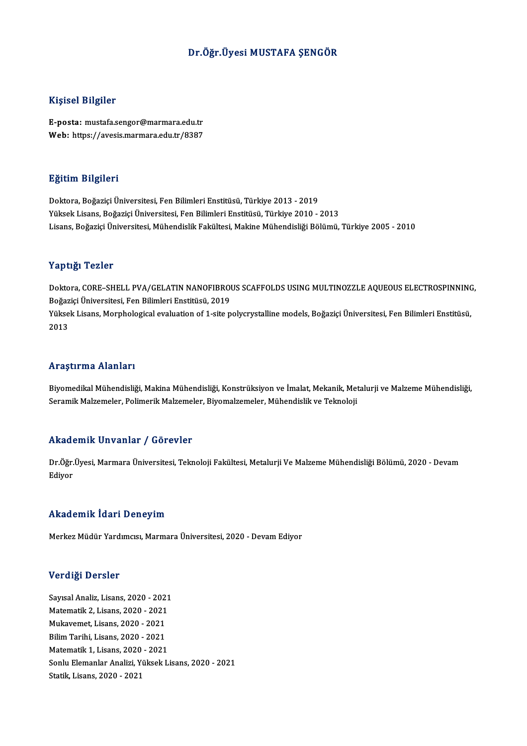### Dr.Öğr.Üyesi MUSTAFA ŞENGÖR

### Kişisel Bilgiler

Kişisel Bilgiler<br>E-posta: mustafa.sengor@marmara.edu.tr<br>Web: https://avosis.marmara.edu.tr/9397 11131001 21151101<br>E-posta: mustafa.sengor@marmara.edu.tr<br>Web: https://avesis.marmara.edu.tr/8387 Web: https://avesis.marmara.edu.tr/8387<br>Eğitim Bilgileri

Doktora,BoğaziçiÜniversitesi,FenBilimleriEnstitüsü,Türkiye 2013 -2019 Yüksek Lisans, Boğaziçi Üniversitesi, Fen Bilimleri Enstitüsü, Türkiye 2010 - 2013 Lisans,BoğaziçiÜniversitesi,MühendislikFakültesi,MakineMühendisliğiBölümü,Türkiye 2005 -2010

### Yaptığı Tezler

Yaptığı Tezler<br>Doktora, CORE–SHELL PVA/GELATIN NANOFIBROUS SCAFFOLDS USING MULTINOZZLE AQUEOUS ELECTROSPINNING,<br>Roğazisi Üniversitesi, Ean Bilimleri Enstitüsü, 2019 1 apesar 1 02101<br>Doktora, CORE–SHELL PVA/GELATIN NANOFIBROI<br>Boğaziçi Üniversitesi, Fen Bilimleri Enstitüsü, 2019<br>Vülgek Lisens, Membelegisel eveluation of 1 site n Doktora, CORE–SHELL PVA/GELATIN NANOFIBROUS SCAFFOLDS USING MULTINOZZLE AQUEOUS ELECTROSPINNINC<br>Boğaziçi Üniversitesi, Fen Bilimleri Enstitüsü, 2019<br>Yüksek Lisans, Morphological evaluation of 1-site polycrystalline models, Boğaz<br>Yükse<br>2013 Araştırma Alanları

Araştırma Alanları<br>Biyomedikal Mühendisliği, Makina Mühendisliği, Konstrüksiyon ve İmalat, Mekanik, Metalurji ve Malzeme Mühendisliği,<br>Seremik Malzemeler, Polimerik Malzemeler, Biyomalzemeler, Mühendislik ve Telmeleji ssi ayen ina sitaniari<br>Biyomedikal Mühendisliği, Makina Mühendisliği, Konstrüksiyon ve İmalat, Mekanik, Met<br>Seramik Malzemeler, Polimerik Malzemeler, Biyomalzemeler, Mühendislik ve Teknoloji Seramik Malzemeler, Polimerik Malzemeler, Biyomalzemeler, Mühendislik ve Teknoloji<br>Akademik Unvanlar / Görevler

**Akademik Unvanlar / Görevler**<br>Dr.Öğr.Üyesi, Marmara Üniversitesi, Teknoloji Fakültesi, Metalurji Ve Malzeme Mühendisliği Bölümü, 2020 - Devam<br>Ediyer rrnaa<br>Dr.Öğr<br>Ediyor <sup>Ediyor</sup><br>Akademik İdari Deneyim

Merkez Müdür Yardımcısı, Marmara Üniversitesi, 2020 - Devam Ediyor

### Verdiği Dersler

Verdi<mark>ği Dersler</mark><br>Sayısal Analiz, Lisans, 2020 - 2021<br>Matamatik 2. Lisans, 2020 - 2021 Matematik 2, Lisans, 2020 - 2021<br>Matematik 2, Lisans, 2020 - 2021<br>Multavamet Lisans, 2020 - 2021 Sayısal Analiz, Lisans, 2020 - 202<br>Matematik 2, Lisans, 2020 - 2021<br>Mukavemet, Lisans, 2020 - 2021<br>Bilim Taribi, Lisans, 2020 - 2021 Matematik 2, Lisans, 2020 - 2021<br>Mukavemet, Lisans, 2020 - 2021<br>Bilim Tarihi, Lisans, 2020 - 2021<br>Matematik 1, Lisans, 2020 - 2021 Mukavemet, Lisans, 2020 - 2021<br>Bilim Tarihi, Lisans, 2020 - 2021<br>Matematik 1, Lisans, 2020 - 2021<br>Sonlu Elemanlar Angliri, Vültselt I Bilim Tarihi, Lisans, 2020 - 2021<br>Matematik 1, Lisans, 2020 - 2021<br>Sonlu Elemanlar Analizi, Yüksek Lisans, 2020 - 2021<br>Statik Lisans, 2020 - 2021 Matematik 1, Lisans, 2020 -<br>Sonlu Elemanlar Analizi, Yü<br>Statik, Lisans, 2020 - 2021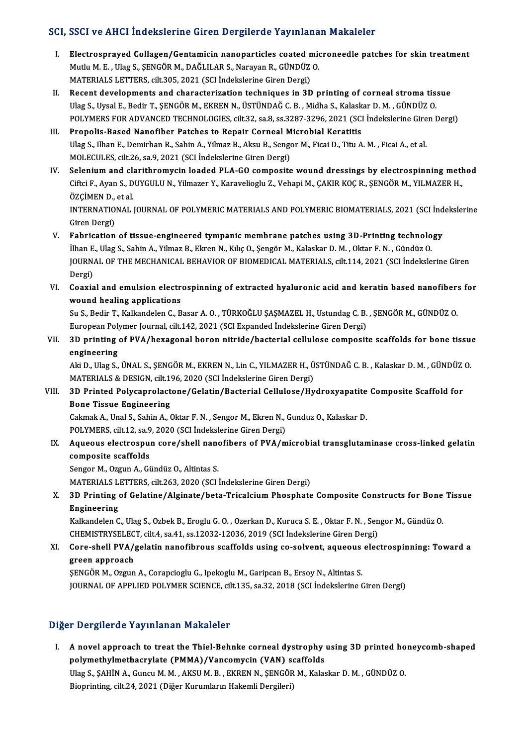### SCI, SSCI ve AHCI İndekslerine Giren Dergilerde Yayınlanan Makaleler

- CI, SSCI ve AHCI İndekslerine Giren Dergilerde Yayınlanan Makaleler<br>I. Electrosprayed Collagen/Gentamicin nanoparticles coated microneedle patches for skin treatment<br>Muth M.E. Ulse S. SENCÖR M. DAČLU AR S. Nanavan R. CÜNDÜ SSST VE TIMET INGENSIEME EN EN BEI SIEME TEJ INIGHE<br>Electrosprayed Collagen/Gentamicin nanoparticles coated mid<br>Mutlu M. E. , Ulag S., ŞENGÖR M., DAĞLILAR S., Narayan R., GÜNDÜZ O.<br>MATERIALS LETTERS. silt 205, 2021. (SCLİn Mutlu M. E. , Ulag S., ŞENGÖR M., DAĞLILAR S., Narayan R., GÜNDÜZ O.<br>MATERIALS LETTERS, cilt.305, 2021 (SCI İndekslerine Giren Dergi) Mutlu M. E. , Ulag S., ŞENGÖR M., DAĞLILAR S., Narayan R., GÜNDÜZ O.<br>MATERIALS LETTERS, cilt.305, 2021 (SCI İndekslerine Giren Dergi)<br>II. Recent developments and characterization techniques in 3D printing of corneal stroma
- MATERIALS LETTERS, cilt.305, 2021 (SCI İndekslerine Giren Dergi)<br>Recent developments and characterization techniques in 3D printing of corneal stroma tis:<br>Ulag S., Uysal E., Bedir T., ŞENGÖR M., EKREN N., ÜSTÜNDAĞ C.B. , M Recent developments and characterization techniques in 3D printing of corneal stroma tissue<br>Ulag S., Uysal E., Bedir T., ŞENGÖR M., EKREN N., ÜSTÜNDAĞ C. B. , Midha S., Kalaskar D. M. , GÜNDÜZ O.<br>POLYMERS FOR ADVANCED TECH Ulag S., Uysal E., Bedir T., ŞENGÖR M., EKREN N., ÜSTÜNDAĞ C. B., Midha S., Kalask<br>POLYMERS FOR ADVANCED TECHNOLOGIES, cilt.32, sa.8, ss.3287-3296, 2021 (SCI<br>III. Propolis-Based Nanofiber Patches to Repair Corneal Microbia
- POLYMERS FOR ADVANCED TECHNOLOGIES, cilt.32, sa.8, ss.3287-3296, 2021 (SCI İndekslerine Giren Dergi)<br>Propolis-Based Nanofiber Patches to Repair Corneal Microbial Keratitis<br>Ulag S., Ilhan E., Demirhan R., Sahin A., Yilmaz B III. Propolis-Based Nanofiber Patches to Repair Corneal Microbial Keratitis Ulag S., Ilhan E., Demirhan R., Sahin A., Yilmaz B., Aksu B., Sengor M., Ficai D., Titu A. M., Ficai A., et al.<br>MOLECULES, cilt.26, sa.9, 2021 (SCI İndekslerine Giren Dergi)<br>IV. Selenium and clarithromycin loaded PLA-GO co
- MOLECULES, cilt.26, sa.9, 2021 (SCI İndekslerine Giren Dergi)<br>Selenium and clarithromycin loaded PLA-GO composite wound dressings by electrospinning meth<br>Ciftci F., Ayan S., DUYGULU N., Yilmazer Y., Karavelioglu Z., Vehapi Selenium and cla<br>Ciftci F., Ayan S., D<br>ÖZÇİMEN D., et al.<br>INTERNATIONAL Ciftci F., Ayan S., DUYGULU N., Yilmazer Y., Karavelioglu Z., Vehapi M., ÇAKIR KOÇ R., ŞENGÖR M., YILMAZER H.,<br>ÖZÇİMEN D., et al.<br>INTERNATIONAL JOURNAL OF POLYMERIC MATERIALS AND POLYMERIC BIOMATERIALS, 2021 (SCI İndeksler ÖZÇİMEN D.,<br>INTERNATIO<br>Giren Dergi)<br>Eshrisation

INTERNATIONAL JOURNAL OF POLYMERIC MATERIALS AND POLYMERIC BIOMATERIALS, 2021 (SCI ind<br>Giren Dergi)<br>V. Fabrication of tissue-engineered tympanic membrane patches using 3D-Printing technology<br><sup>ilhon E.</sup> <sup>Ulog</sup> S. Sobin A. V

- Giren Dergi)<br>Fabrication of tissue-engineered tympanic membrane patches using 3D-Printing technolo<br>İlhan E., Ulag S., Sahin A., Yilmaz B., Ekren N., Kılıç O., Şengör M., Kalaskar D. M. , Oktar F. N. , Gündüz O<br>JOUPNAL OF T V. Fabrication of tissue-engineered tympanic membrane patches using 3D-Printing technology<br>İlhan E., Ulag S., Sahin A., Yilmaz B., Ekren N., Kılıç O., Şengör M., Kalaskar D. M. , Oktar F. N. , Gündüz O.<br>JOURNAL OF THE MECH İlhan E<br>JOURN<br>Dergi)<br>Coaxia JOURNAL OF THE MECHANICAL BEHAVIOR OF BIOMEDICAL MATERIALS, cilt.114, 2021 (SCI Indekslerine Giren<br>Dergi)<br>VI. Coaxial and emulsion electrospinning of extracted hyaluronic acid and keratin based nanofibers for<br>wound basling
- Dergi)<br>Coaxial and emulsion electr<br>wound healing applications<br>Su S. Pedir T. Kalkandelen G. P Coaxial and emulsion electrospinning of extracted hyaluronic acid and keratin based nanofiber:<br>wound healing applications<br>Su S., Bedir T., Kalkandelen C., Basar A. O. , TÜRKOĞLU ŞAŞMAZEL H., Ustundag C. B. , ŞENGÖR M., GÜN

wound healing applications<br>Su S., Bedir T., Kalkandelen C., Basar A. O. , TÜRKOĞLU ŞAŞMAZEL H., Ustundag C. B.<br>European Polymer Journal, cilt.142, 2021 (SCI Expanded İndekslerine Giren Dergi)<br>2D printing of BVA (hovogonal Su S., Bedir T., Kalkandelen C., Basar A. O. , TÜRKOĞLU ŞAŞMAZEL H., Ustundag C. B. , ŞENGÖR M., GÜNDÜZ O.<br>European Polymer Journal, cilt.142, 2021 (SCI Expanded Indekslerine Giren Dergi)<br>VII. 3D printing of PVA/hexagonal

## European Poly<br>3D printing<br>engineering<br>Als D. Hag S. 3D printing of PVA/hexagonal boron nitride/bacterial cellulose composite scaffolds for bone tissue<br>engineering<br>Aki D., Ulag S., ÜNAL S., ŞENGÖR M., EKREN N., Lin C., YILMAZER H., ÜSTÜNDAĞ C. B. , Kalaskar D. M. , GÜNDÜZ O<br>

e<mark>ngineering</mark><br>Aki D., Ulag S., ÜNAL S., ŞENGÖR M., EKREN N., Lin C., YILMAZER H., Ü<br>MATERIALS & DESIGN, cilt.196, 2020 (SCI İndekslerine Giren Dergi)<br>2D. Printed Bolyganralastane (Celatin (Basterial Cellulase (Hy Aki D., Ulag S., ÜNAL S., ŞENGÖR M., EKREN N., Lin C., YILMAZER H., ÜSTÜNDAĞ C. B. , Kalaskar D. M. , GÜNDÜZ<br>MATERIALS & DESIGN, cilt.196, 2020 (SCI İndekslerine Giren Dergi)<br>VIII. 3D Printed Polycaprolactone/Gelatin/Bacte

## MATERIALS & DESIGN, cilt.1<br>3D Printed Polycaprolact<br>Bone Tissue Engineering 3D Printed Polycaprolactone/Gelatin/Bacterial Cellulose/Hydroxyapatite<br>Bone Tissue Engineering<br>Cakmak A., Unal S., Sahin A., Oktar F. N. , Sengor M., Ekren N., Gunduz O., Kalaskar D.<br>POLYMERS. silt 12, se 9, 2020 (SCL Inde

Bone Tissue Engineering<br>Cakmak A., Unal S., Sahin A., Oktar F. N. , Sengor M., Ekren N., (<br>POLYMERS, cilt.12, sa.9, 2020 (SCI İndekslerine Giren Dergi)<br>Agueous alestrespun sora (shall papefibers of BVA (m

## Cakmak A., Unal S., Sahin A., Oktar F. N. , Sengor M., Ekren N., Gunduz O., Kalaskar D.<br>POLYMERS, cilt.12, sa.9, 2020 (SCI Indekslerine Giren Dergi)<br>IX. Aqueous electrospun core/shell nanofibers of PVA/microbial transg POLYMERS, cilt.12, sa.9<br>Aqueous electrospu:<br>composite scaffolds<br>Sangar M. Ozgun A. Gi

Sengor M., Ozgun A., Gündüz O., Altintas S.

MATERIALS LETTERS, cilt.263, 2020 (SCI İndekslerine Giren Dergi)

## Sengor M., Ozgun A., Gündüz O., Altintas S.<br>MATERIALS LETTERS, cilt.263, 2020 (SCI İndekslerine Giren Dergi)<br>X. 3D Printing of Gelatine/Alginate/beta-Tricalcium Phosphate Composite Constructs for Bone Tissue<br>Engineering Engineering 3D Printing of Gelatine/Alginate/beta-Tricalcium Phosphate Composite Constructs for Bone<br>Engineering<br>Kalkandelen C., Ulag S., Ozbek B., Eroglu G. O. , Ozerkan D., Kuruca S. E. , Oktar F. N. , Sengor M., Gündüz O<br>CHEMISTRYS

Kalkandelen C., Ulag S., Ozbek B., Eroglu G. O. , Ozerkan D., Kuruca S. E. , Oktar F. N. , Sengor M., Gündüz O.<br>CHEMISTRYSELECT, cilt.4, sa.41, ss.12032-12036, 2019 (SCI İndekslerine Giren Dergi) Kalkandelen C., Ulag S., Ozbek B., Eroglu G. O. , Ozerkan D., Kuruca S. E. , Oktar F. N. , Sengor M., Gündüz O.<br>CHEMISTRYSELECT, cilt.4, sa.41, ss.12032-12036, 2019 (SCI İndekslerine Giren Dergi)<br>XI. Core-shell PVA/gelatin

# Core-shell PVA/gelatin nanofibrous scaffolds using co-solvent, aqueous<br>green approach<br>ŞENGÖR M., Ozgun A., Corapcioglu G., Ipekoglu M., Garipcan B., Ersoy N., Altintas S.<br>JOUPMAL OF APPLIED POLYMER SCIENCE silt 125, 89.22,

green approach<br>ŞENGÖR M., Ozgun A., Corapcioglu G., Ipekoglu M., Garipcan B., Ersoy N., Altintas S. JOURNAL OF APPLIED POLYMER SCIENCE, cilt.135, sa.32, 2018 (SCI İndekslerine Giren Dergi)

## Diğer Dergilerde Yayınlanan Makaleler

Iger Dergilerde Yayınlanan Makaleler<br>I. A novel approach to treat the Thiel-Behnke corneal dystrophy using 3D printed honeycomb-shaped<br>Relimethylmethoewlete (BMMA) (Vansemysin (VAN) seeffelds polymethylmethacrylate Thiel-Behnke corneal dystrophy<br>polymethylmethacrylate (PMMA)/Vancomycin (VAN) scaffolds<br>Ulag S. SAHIN A. Gungu M. M. AKSH M. B. EKREN N. SENGÖR M. Kalas A novel approach to treat the Thiel-Behnke corneal dystrophy using 3D printed ho<br>polymethylmethacrylate (PMMA)/Vancomycin (VAN) scaffolds<br>Ulag S., ŞAHİN A., Guncu M. M. , AKSU M. B. , EKREN N., ŞENGÖR M., Kalaskar D. M. , polymethylmethacrylate (PMMA)/Vancomycin (VAN) scaffolds<br>Ulag S., ŞAHİN A., Guncu M. M. , AKSU M. B. , EKREN N., ŞENGÖR M., Kalaskar D. M. , GÜNDÜZ O.<br>Bioprinting, cilt.24, 2021 (Diğer Kurumların Hakemli Dergileri)